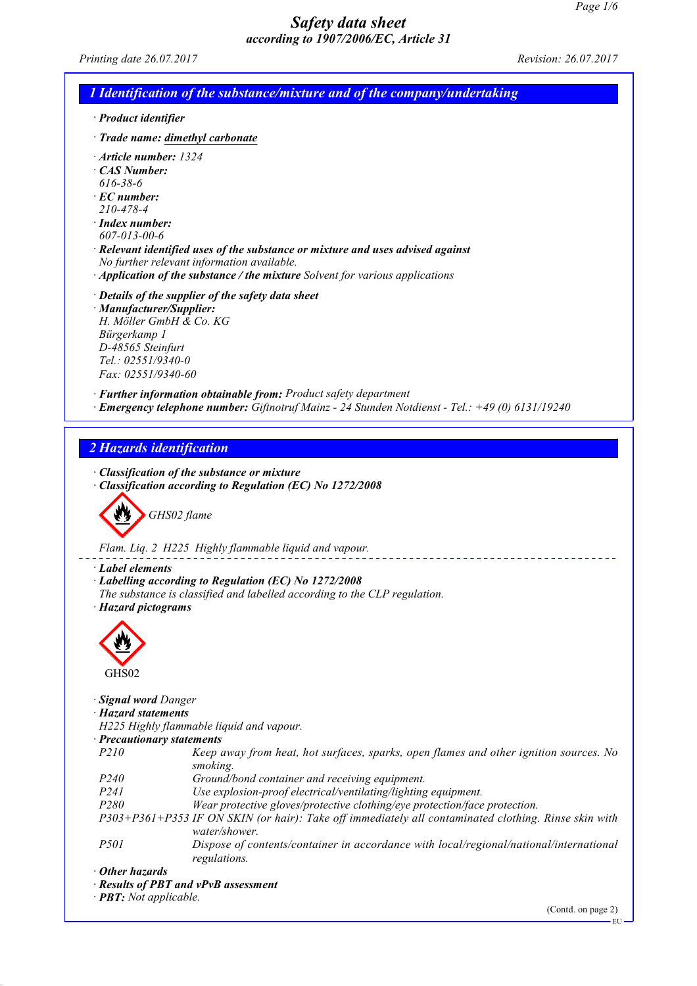(Contd. on page 2)

|                                                                                                                                      | 1 Identification of the substance/mixture and of the company/undertaking                                                                                                                                        |
|--------------------------------------------------------------------------------------------------------------------------------------|-----------------------------------------------------------------------------------------------------------------------------------------------------------------------------------------------------------------|
| $\cdot$ Product identifier                                                                                                           |                                                                                                                                                                                                                 |
|                                                                                                                                      | · Trade name: dimethyl carbonate                                                                                                                                                                                |
| $\cdot$ Article number: 1324<br>· CAS Number:<br>$616 - 38 - 6$<br>$\cdot$ EC number:<br>210-478-4                                   |                                                                                                                                                                                                                 |
| $\cdot$ Index number:<br>607-013-00-6                                                                                                | · Relevant identified uses of the substance or mixture and uses advised against<br>No further relevant information available.                                                                                   |
|                                                                                                                                      | $\cdot$ Application of the substance / the mixture Solvent for various applications                                                                                                                             |
| · Manufacturer/Supplier:<br>H. Möller GmbH & Co. KG<br>Bürgerkamp 1<br>D-48565 Steinfurt<br>Tel.: 02551/9340-0<br>Fax: 02551/9340-60 | · Details of the supplier of the safety data sheet                                                                                                                                                              |
|                                                                                                                                      | · Further information obtainable from: Product safety department<br><b>Emergency telephone number:</b> Giftnotruf Mainz - 24 Stunden Notdienst - Tel.: +49 (0) 6131/19240                                       |
|                                                                                                                                      |                                                                                                                                                                                                                 |
| 2 Hazards identification                                                                                                             | · Classification of the substance or mixture<br>Classification according to Regulation (EC) No 1272/2008                                                                                                        |
| Label elements<br>· Hazard pictograms                                                                                                | GHS02 flame<br>Flam. Liq. 2 H225 Highly flammable liquid and vapour.<br>Labelling according to Regulation (EC) No 1272/2008<br>The substance is classified and labelled according to the CLP regulation.        |
|                                                                                                                                      |                                                                                                                                                                                                                 |
| GHS02                                                                                                                                |                                                                                                                                                                                                                 |
| P210                                                                                                                                 | H225 Highly flammable liquid and vapour.<br>Keep away from heat, hot surfaces, sparks, open flames and other ignition sources. No                                                                               |
| · Signal word Danger<br>· Hazard statements<br>· Precautionary statements<br>P <sub>240</sub>                                        | smoking.                                                                                                                                                                                                        |
| P241                                                                                                                                 | Ground/bond container and receiving equipment.<br>Use explosion-proof electrical/ventilating/lighting equipment.                                                                                                |
| P280                                                                                                                                 | Wear protective gloves/protective clothing/eye protection/face protection.                                                                                                                                      |
| <i>P501</i>                                                                                                                          | P303+P361+P353 IF ON SKIN (or hair): Take off immediately all contaminated clothing. Rinse skin with<br>water/shower.<br>Dispose of contents/container in accordance with local/regional/national/international |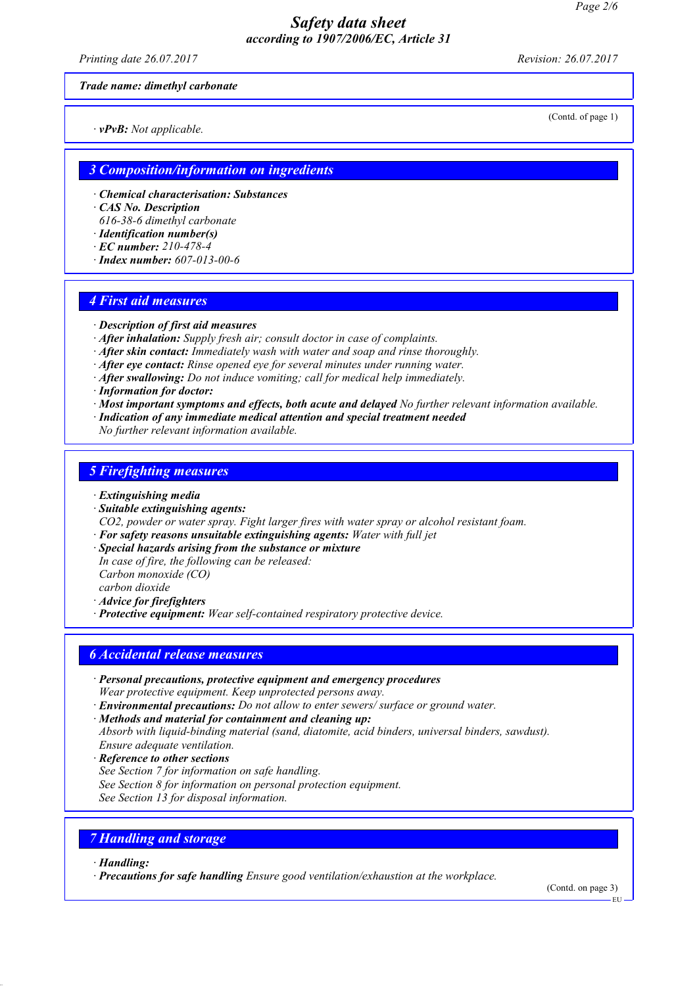*Printing date 26.07.2017 Revision: 26.07.2017*

*Trade name: dimethyl carbonate*

*· vPvB: Not applicable.*

(Contd. of page 1)

## *3 Composition/information on ingredients*

- *· Chemical characterisation: Substances*
- *· CAS No. Description*
- *616-38-6 dimethyl carbonate*
- *· Identification number(s)*
- *· EC number: 210-478-4*
- *· Index number: 607-013-00-6*

#### *4 First aid measures*

- *· Description of first aid measures*
- *· After inhalation: Supply fresh air; consult doctor in case of complaints.*
- *· After skin contact: Immediately wash with water and soap and rinse thoroughly.*
- *· After eye contact: Rinse opened eye for several minutes under running water.*
- *· After swallowing: Do not induce vomiting; call for medical help immediately.*
- *· Information for doctor:*
- *· Most important symptoms and effects, both acute and delayed No further relevant information available.*
- *· Indication of any immediate medical attention and special treatment needed*
- *No further relevant information available.*

#### *5 Firefighting measures*

*· Extinguishing media*

*· Suitable extinguishing agents:*

*CO2, powder or water spray. Fight larger fires with water spray or alcohol resistant foam.*

- *· For safety reasons unsuitable extinguishing agents: Water with full jet*
- *· Special hazards arising from the substance or mixture*

*In case of fire, the following can be released: Carbon monoxide (CO) carbon dioxide*

*· Advice for firefighters*

*· Protective equipment: Wear self-contained respiratory protective device.*

## *6 Accidental release measures*

- *· Personal precautions, protective equipment and emergency procedures Wear protective equipment. Keep unprotected persons away.*
- *· Environmental precautions: Do not allow to enter sewers/ surface or ground water.*

*· Methods and material for containment and cleaning up: Absorb with liquid-binding material (sand, diatomite, acid binders, universal binders, sawdust). Ensure adequate ventilation.*

- *· Reference to other sections*
- *See Section 7 for information on safe handling.*
- *See Section 8 for information on personal protection equipment.*

*See Section 13 for disposal information.*

# *7 Handling and storage*

*· Handling:*

*· Precautions for safe handling Ensure good ventilation/exhaustion at the workplace.*

(Contd. on page 3)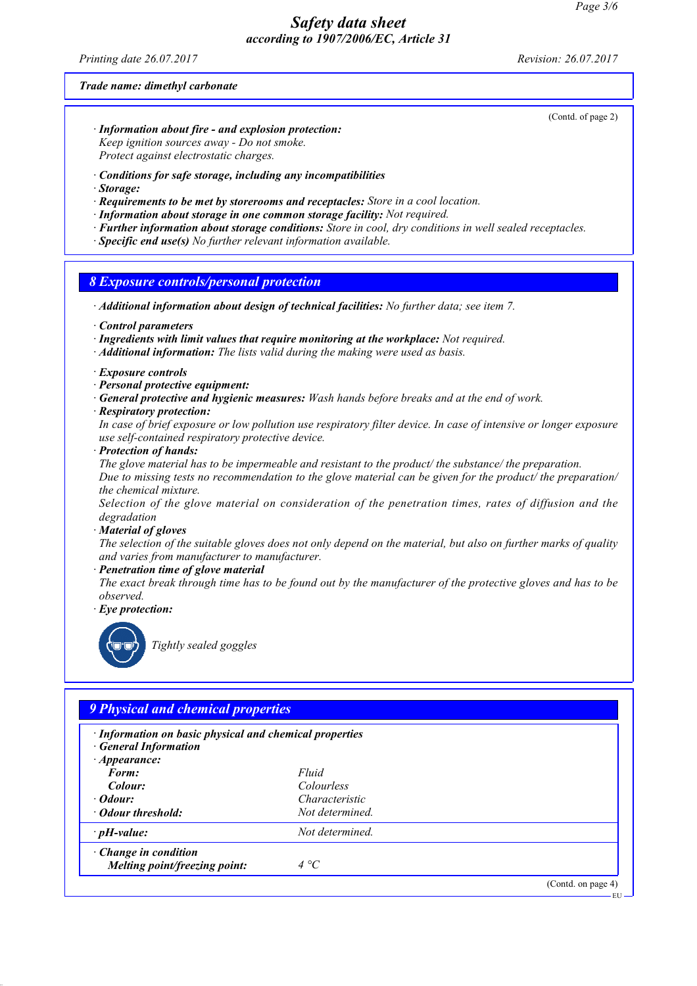*Printing date 26.07.2017 Revision: 26.07.2017*

#### *Trade name: dimethyl carbonate*

- *· Information about fire and explosion protection: Keep ignition sources away - Do not smoke. Protect against electrostatic charges.*
- *· Conditions for safe storage, including any incompatibilities*
- *· Storage:*
- *· Requirements to be met by storerooms and receptacles: Store in a cool location.*
- *· Information about storage in one common storage facility: Not required.*
- *· Further information about storage conditions: Store in cool, dry conditions in well sealed receptacles.*
- *· Specific end use(s) No further relevant information available.*

## *8 Exposure controls/personal protection*

- *· Additional information about design of technical facilities: No further data; see item 7.*
- *· Control parameters*
- *· Ingredients with limit values that require monitoring at the workplace: Not required.*
- *· Additional information: The lists valid during the making were used as basis.*
- *· Exposure controls*
- *· Personal protective equipment:*
- *· General protective and hygienic measures: Wash hands before breaks and at the end of work.*
- *· Respiratory protection:*

*In case of brief exposure or low pollution use respiratory filter device. In case of intensive or longer exposure use self-contained respiratory protective device.*

*· Protection of hands:*

*The glove material has to be impermeable and resistant to the product/ the substance/ the preparation. Due to missing tests no recommendation to the glove material can be given for the product/ the preparation/ the chemical mixture.*

*Selection of the glove material on consideration of the penetration times, rates of diffusion and the degradation*

*· Material of gloves*

*The selection of the suitable gloves does not only depend on the material, but also on further marks of quality and varies from manufacturer to manufacturer.*

*· Penetration time of glove material*

*The exact break through time has to be found out by the manufacturer of the protective gloves and has to be observed.*

*· Eye protection:*



*Tightly sealed goggles*

## *9 Physical and chemical properties*

| · Information on basic physical and chemical properties<br><b>General Information</b> |                 |                    |  |  |
|---------------------------------------------------------------------------------------|-----------------|--------------------|--|--|
| $\cdot$ Appearance:                                                                   |                 |                    |  |  |
| Form:                                                                                 | Fluid           |                    |  |  |
| Colour:                                                                               | Colourless      |                    |  |  |
| $\cdot$ Odour:                                                                        | Characteristic  |                    |  |  |
| · Odour threshold:                                                                    | Not determined. |                    |  |  |
| $\cdot$ pH-value:                                                                     | Not determined. |                    |  |  |
| $\cdot$ Change in condition<br>Melting point/freezing point:                          | 4 °C            |                    |  |  |
|                                                                                       |                 | (Contd. on page 4) |  |  |

(Contd. of page 2)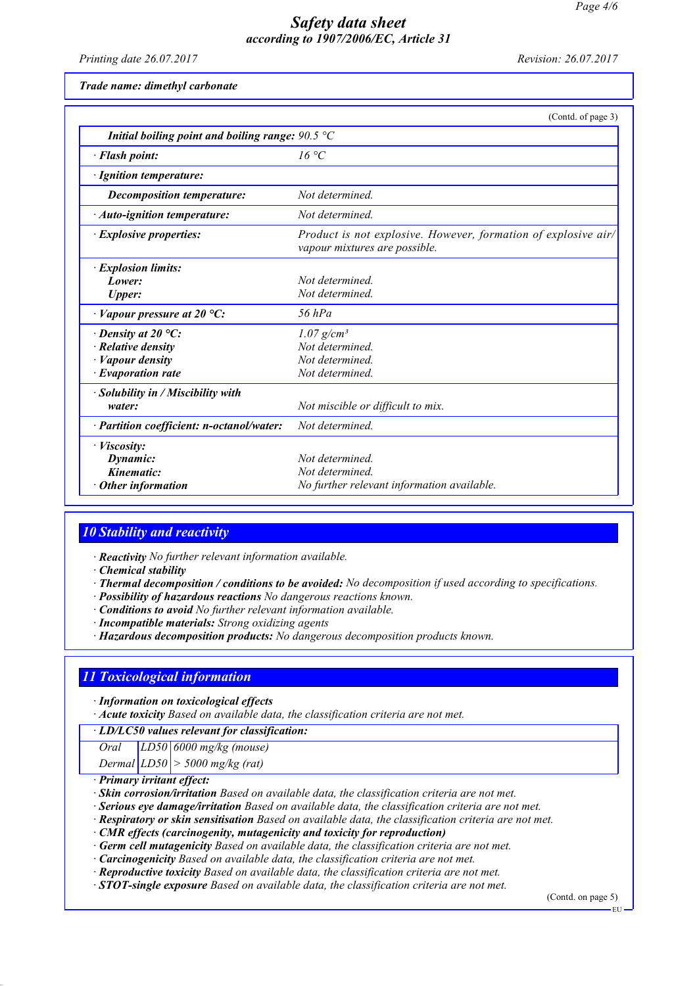*Printing date 26.07.2017 Revision: 26.07.2017*

*Trade name: dimethyl carbonate*

|                                                                          | (Contd. of page 3)                                                                              |  |  |  |
|--------------------------------------------------------------------------|-------------------------------------------------------------------------------------------------|--|--|--|
| Initial boiling point and boiling range: $90.5 \text{ }^{\circ}\text{C}$ |                                                                                                 |  |  |  |
| · Flash point:                                                           | 16 °C                                                                                           |  |  |  |
| $\cdot$ Ignition temperature:                                            |                                                                                                 |  |  |  |
| Decomposition temperature:                                               | Not determined.                                                                                 |  |  |  |
| $\cdot$ Auto-ignition temperature:                                       | Not determined.                                                                                 |  |  |  |
| $\cdot$ Explosive properties:                                            | Product is not explosive. However, formation of explosive air/<br>vapour mixtures are possible. |  |  |  |
| <i>Explosion limits:</i>                                                 |                                                                                                 |  |  |  |
| Lower:                                                                   | Not determined                                                                                  |  |  |  |
| <b>Upper:</b>                                                            | Not determined.                                                                                 |  |  |  |
| $\cdot$ Vapour pressure at 20 °C:                                        | 56 hPa                                                                                          |  |  |  |
| $\cdot$ Density at 20 °C:                                                | $1.07$ g/cm <sup>3</sup>                                                                        |  |  |  |
| $\cdot$ Relative density                                                 | Not determined.                                                                                 |  |  |  |
| $\cdot$ <i>Vapour density</i>                                            | Not determined                                                                                  |  |  |  |
| $\cdot$ Evaporation rate                                                 | Not determined.                                                                                 |  |  |  |
| $\cdot$ Solubility in / Miscibility with                                 |                                                                                                 |  |  |  |
| water:                                                                   | Not miscible or difficult to mix.                                                               |  |  |  |
| · Partition coefficient: n-octanol/water:                                | Not determined.                                                                                 |  |  |  |
| · Viscosity:                                                             |                                                                                                 |  |  |  |
| Dynamic:                                                                 | Not determined.                                                                                 |  |  |  |
| Kinematic:                                                               | Not determined.                                                                                 |  |  |  |
| $\cdot$ Other information                                                | No further relevant information available.                                                      |  |  |  |

# *10 Stability and reactivity*

*· Reactivity No further relevant information available.*

- *· Chemical stability*
- *· Thermal decomposition / conditions to be avoided: No decomposition if used according to specifications.*
- *· Possibility of hazardous reactions No dangerous reactions known.*
- *· Conditions to avoid No further relevant information available.*
- *· Incompatible materials: Strong oxidizing agents*
- *· Hazardous decomposition products: No dangerous decomposition products known.*

#### *11 Toxicological information*

- *· Information on toxicological effects*
- *· Acute toxicity Based on available data, the classification criteria are not met.*
- *· LD/LC50 values relevant for classification:*

*Oral LD50 6000 mg/kg (mouse)*

*Dermal LD50 > 5000 mg/kg (rat)*

- *· Primary irritant effect:*
- *· Skin corrosion/irritation Based on available data, the classification criteria are not met.*
- *· Serious eye damage/irritation Based on available data, the classification criteria are not met.*
- *· Respiratory or skin sensitisation Based on available data, the classification criteria are not met.*
- *· CMR effects (carcinogenity, mutagenicity and toxicity for reproduction)*
- *· Germ cell mutagenicity Based on available data, the classification criteria are not met.*
- *· Carcinogenicity Based on available data, the classification criteria are not met.*
- *· Reproductive toxicity Based on available data, the classification criteria are not met.*
- *· STOT-single exposure Based on available data, the classification criteria are not met.*

(Contd. on page 5)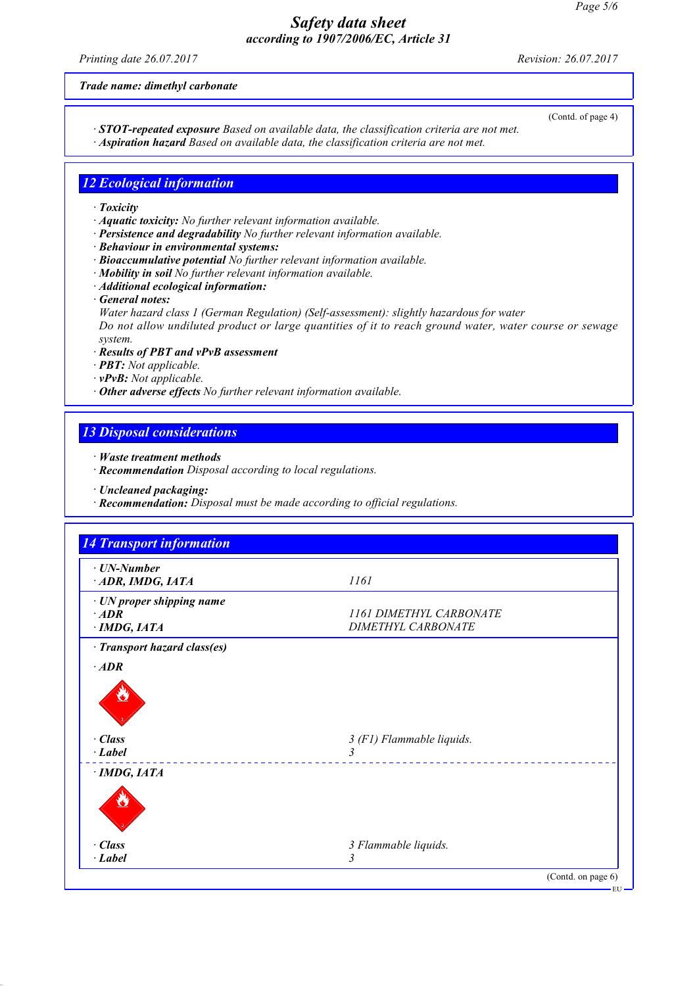*Printing date 26.07.2017 Revision: 26.07.2017*

*Trade name: dimethyl carbonate*

(Contd. of page 4)

EU

- *· STOT-repeated exposure Based on available data, the classification criteria are not met.*
- *· Aspiration hazard Based on available data, the classification criteria are not met.*

## *12 Ecological information*

- *· Toxicity*
- *· Aquatic toxicity: No further relevant information available.*
- *· Persistence and degradability No further relevant information available.*
- *· Behaviour in environmental systems:*
- *· Bioaccumulative potential No further relevant information available.*
- *· Mobility in soil No further relevant information available.*
- *· Additional ecological information:*
- *· General notes:*
- *Water hazard class 1 (German Regulation) (Self-assessment): slightly hazardous for water Do not allow undiluted product or large quantities of it to reach ground water, water course or sewage system.*
- *· Results of PBT and vPvB assessment*
- *· PBT: Not applicable.*
- *· vPvB: Not applicable.*
- *· Other adverse effects No further relevant information available.*

# *13 Disposal considerations*

- *· Waste treatment methods*
- *· Recommendation Disposal according to local regulations.*
- *· Uncleaned packaging:*
- *· Recommendation: Disposal must be made according to official regulations.*

| $\cdot$ UN-Number<br>ADR, IMDG, IATA | 1161                                          |
|--------------------------------------|-----------------------------------------------|
|                                      |                                               |
| · UN proper shipping name            |                                               |
| $\cdot$ ADR<br>$\cdot$ IMDG, IATA    | 1161 DIMETHYL CARBONATE<br>DIMETHYL CARBONATE |
|                                      |                                               |
| · Transport hazard class(es)         |                                               |
| $\cdot$ ADR                          |                                               |
| $\cdot$ Class<br>$\cdot$ Label       | 3 (F1) Flammable liquids.<br>3                |
|                                      |                                               |
| $\cdot$ IMDG, IATA                   |                                               |
|                                      |                                               |
| $\cdot$ Class                        | 3 Flammable liquids.                          |
|                                      |                                               |